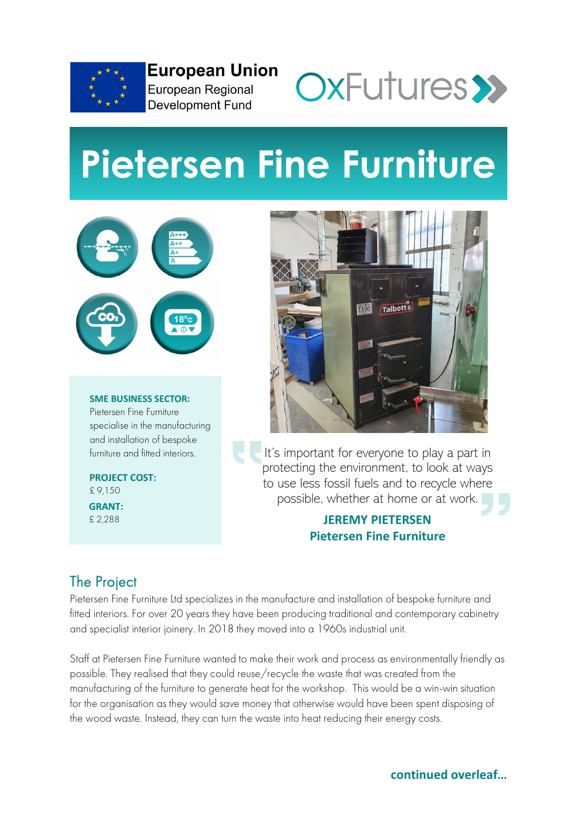

**European Union** European Regional **Development Fund** 



# **Pietersen Fine Furniture**



**SME BUSINESS SECTOR:** Pietersen Fine Furniture specialise in the manufacturing and installation of bespoke furniture and fitted interiors.

**PROJECT COST:** £ 9,150 **GRANT:** £ 2,288



It's important for everyone to play a part in protecting the environment, to look at ways to use less fossil fuels and to recycle where possible, whether at home or at work.

#### **JEREMY PIETERSEN Pietersen Fine Furniture**

# The Project

Pietersen Fine Furniture Ltd specializes in the manufacture and installation of bespoke furniture and fitted interiors. For over 20 years they have been producing traditional and contemporary cabinetry and specialist interior joinery. In 2018 they moved into a 1960s industrial unit.

Staff at Pietersen Fine Furniture wanted to make their work and process as environmentally friendly as possible. They realised that they could reuse/recycle the waste that was created from the manufacturing of the furniture to generate heat for the workshop. This would be a win-win situation for the organisation as they would save money that otherwise would have been spent disposing of the wood waste. Instead, they can turn the waste into heat reducing their energy costs.